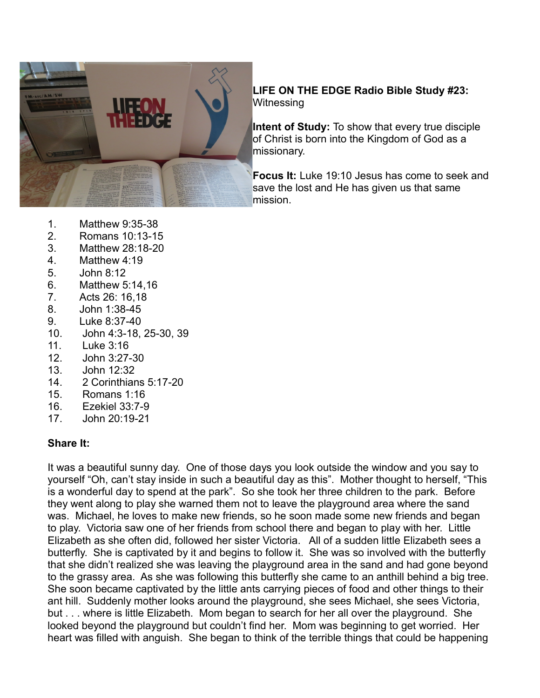

### **LIFE ON THE EDGE Radio Bible Study #23: Witnessing**

**Intent of Study:** To show that every true disciple of Christ is born into the Kingdom of God as a missionary.

**Focus It:** Luke 19:10 Jesus has come to seek and save the lost and He has given us that same mission.

- 1. Matthew 9:35-38
- 2. Romans 10:13-15
- 3. Matthew 28:18-20
- 4. Matthew 4:19
- 5. John 8:12
- 6. Matthew 5:14,16
- 7. Acts 26: 16,18
- 8. John 1:38-45
- 9. Luke 8:37-40
- 10. John 4:3-18, 25-30, 39
- 11. Luke 3:16
- 12. John 3:27-30
- 13. John 12:32
- 14. 2 Corinthians 5:17-20
- 15. Romans 1:16
- 16. Ezekiel 33:7-9
- 17. John 20:19-21

#### **Share It:**

It was a beautiful sunny day. One of those days you look outside the window and you say to yourself "Oh, can't stay inside in such a beautiful day as this". Mother thought to herself, "This is a wonderful day to spend at the park". So she took her three children to the park. Before they went along to play she warned them not to leave the playground area where the sand was. Michael, he loves to make new friends, so he soon made some new friends and began to play. Victoria saw one of her friends from school there and began to play with her. Little Elizabeth as she often did, followed her sister Victoria. All of a sudden little Elizabeth sees a butterfly. She is captivated by it and begins to follow it. She was so involved with the butterfly that she didn't realized she was leaving the playground area in the sand and had gone beyond to the grassy area. As she was following this butterfly she came to an anthill behind a big tree. She soon became captivated by the little ants carrying pieces of food and other things to their ant hill. Suddenly mother looks around the playground, she sees Michael, she sees Victoria, but . . . where is little Elizabeth. Mom began to search for her all over the playground. She looked beyond the playground but couldn't find her. Mom was beginning to get worried. Her heart was filled with anguish. She began to think of the terrible things that could be happening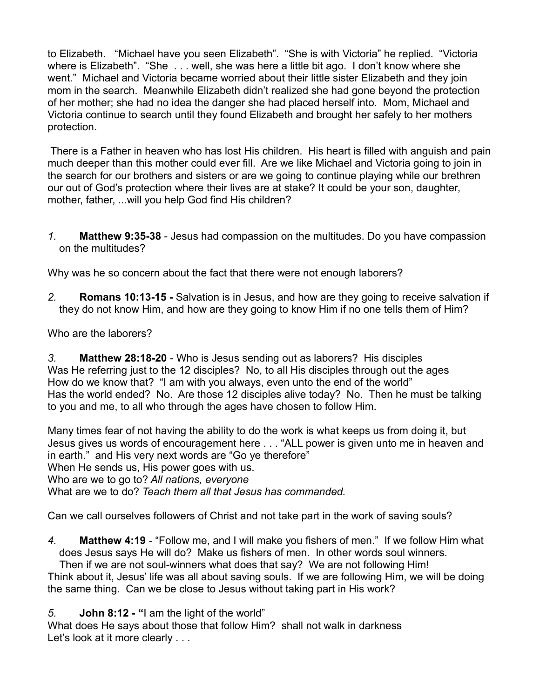to Elizabeth. "Michael have you seen Elizabeth". "She is with Victoria" he replied. "Victoria where is Elizabeth". "She . . . well, she was here a little bit ago. I don't know where she went." Michael and Victoria became worried about their little sister Elizabeth and they join mom in the search. Meanwhile Elizabeth didn't realized she had gone beyond the protection of her mother; she had no idea the danger she had placed herself into. Mom, Michael and Victoria continue to search until they found Elizabeth and brought her safely to her mothers protection.

There is a Father in heaven who has lost His children. His heart is filled with anguish and pain much deeper than this mother could ever fill. Are we like Michael and Victoria going to join in the search for our brothers and sisters or are we going to continue playing while our brethren our out of God's protection where their lives are at stake? It could be your son, daughter, mother, father, ...will you help God find His children?

*1.* **Matthew 9:35-38** - Jesus had compassion on the multitudes. Do you have compassion on the multitudes?

Why was he so concern about the fact that there were not enough laborers?

*2.* **Romans 10:13-15 -** Salvation is in Jesus, and how are they going to receive salvation if they do not know Him, and how are they going to know Him if no one tells them of Him?

Who are the laborers?

*3.* **Matthew 28:18-20** - Who is Jesus sending out as laborers? His disciples Was He referring just to the 12 disciples? No, to all His disciples through out the ages How do we know that? "I am with you always, even unto the end of the world" Has the world ended? No. Are those 12 disciples alive today? No. Then he must be talking to you and me, to all who through the ages have chosen to follow Him.

Many times fear of not having the ability to do the work is what keeps us from doing it, but Jesus gives us words of encouragement here . . . "ALL power is given unto me in heaven and in earth." and His very next words are "Go ye therefore" When He sends us, His power goes with us. Who are we to go to? *All nations, everyone* What are we to do? *Teach them all that Jesus has commanded.* 

Can we call ourselves followers of Christ and not take part in the work of saving souls?

*4.* **Matthew 4:19** - "Follow me, and I will make you fishers of men." If we follow Him what does Jesus says He will do? Make us fishers of men. In other words soul winners. Then if we are not soul-winners what does that say? We are not following Him!

Think about it, Jesus' life was all about saving souls. If we are following Him, we will be doing the same thing. Can we be close to Jesus without taking part in His work?

*5.* **John 8:12 - "**I am the light of the world"

What does He says about those that follow Him? shall not walk in darkness Let's look at it more clearly . . .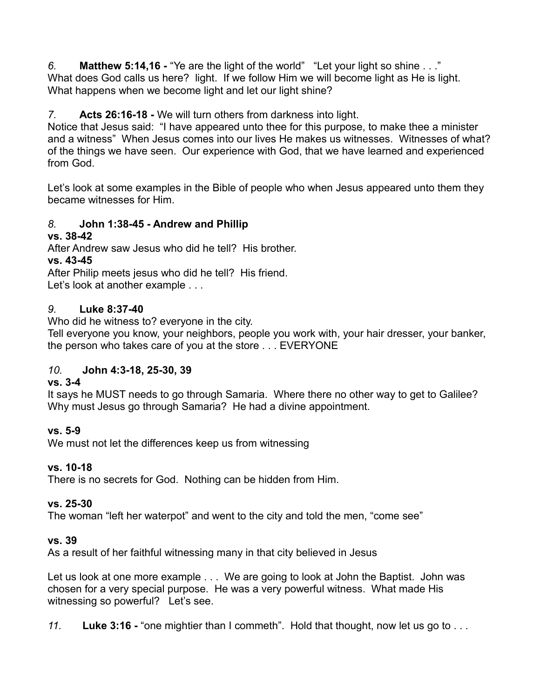*6.* **Matthew 5:14,16 -** "Ye are the light of the world" "Let your light so shine . . ." What does God calls us here? light. If we follow Him we will become light as He is light. What happens when we become light and let our light shine?

## *7.* **Acts 26:16-18 -** We will turn others from darkness into light.

Notice that Jesus said: "I have appeared unto thee for this purpose, to make thee a minister and a witness" When Jesus comes into our lives He makes us witnesses. Witnesses of what? of the things we have seen. Our experience with God, that we have learned and experienced from God.

Let's look at some examples in the Bible of people who when Jesus appeared unto them they became witnesses for Him.

### *8.* **John 1:38-45 - Andrew and Phillip**

### **vs. 38-42**

After Andrew saw Jesus who did he tell? His brother.

### **vs. 43-45**

After Philip meets jesus who did he tell? His friend.

Let's look at another example . . .

#### *9.* **Luke 8:37-40**

Who did he witness to? everyone in the city.

Tell everyone you know, your neighbors, people you work with, your hair dresser, your banker, the person who takes care of you at the store . . . EVERYONE

# *10.* **John 4:3-18, 25-30, 39**

#### **vs. 3-4**

It says he MUST needs to go through Samaria. Where there no other way to get to Galilee? Why must Jesus go through Samaria? He had a divine appointment.

# **vs. 5-9**

We must not let the differences keep us from witnessing

#### **vs. 10-18**

There is no secrets for God. Nothing can be hidden from Him.

#### **vs. 25-30**

The woman "left her waterpot" and went to the city and told the men, "come see"

#### **vs. 39**

As a result of her faithful witnessing many in that city believed in Jesus

Let us look at one more example . . . We are going to look at John the Baptist. John was chosen for a very special purpose. He was a very powerful witness. What made His witnessing so powerful? Let's see.

*11.* **Luke 3:16 -** "one mightier than I commeth". Hold that thought, now let us go to . . .